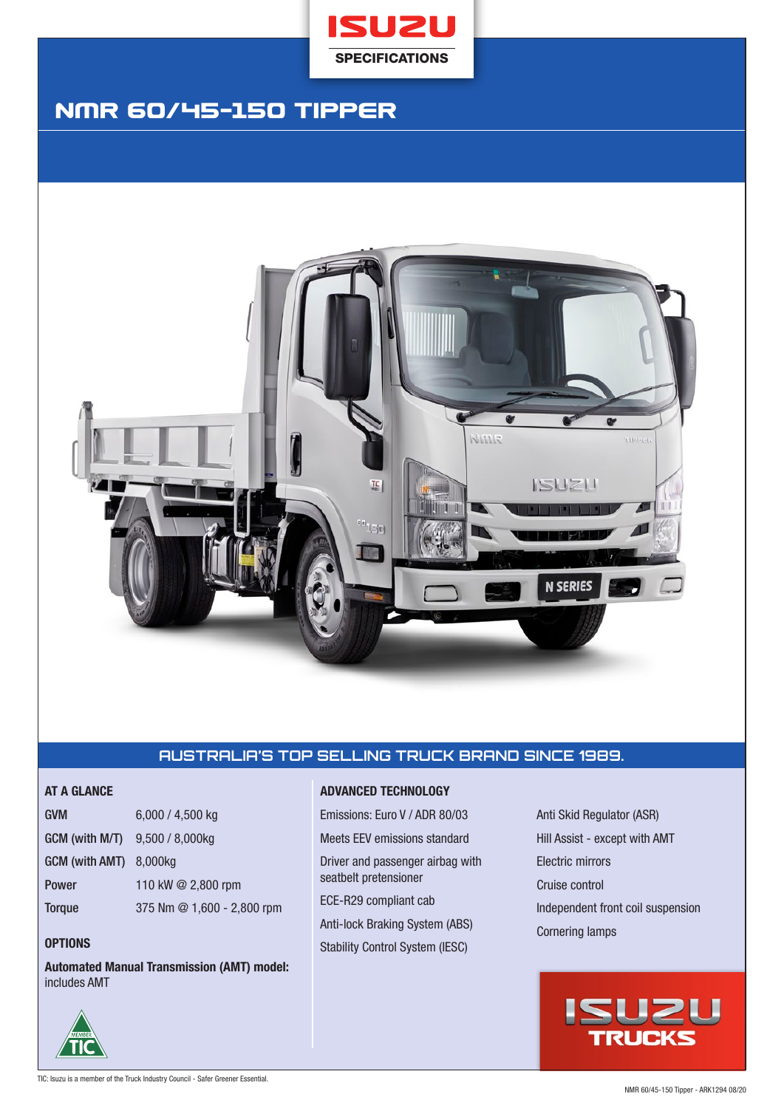

# NMR 60/45-150 Tipper



# **AUSTRALIA'S TOP SELLING TRUCK BRAND SINCE 1989.**

| <b>GVM</b>                          | $6,000 / 4,500$ kg         |
|-------------------------------------|----------------------------|
| $GCM$ (with M/T) $9,500 / 8,000$ kg |                            |
| GCM (with AMT) 8,000kg              |                            |
| Power                               | 110 kW @ 2,800 rpm         |
| <b>Torque</b>                       | 375 Nm @ 1,600 - 2,800 rpm |

# **OPTIONS**

**Automated Manual Transmission (AMT) model:**  includes AMT

# **AT A GLANCE ADVANCED TECHNOLOGY**

Emissions: Euro V / ADR 80/03 Meets EEV emissions standard Driver and passenger airbag with seatbelt pretensioner ECE-R29 compliant cab Anti-lock Braking System (ABS)

Stability Control System (IESC)

Anti Skid Regulator (ASR) Hill Assist - except with AMT Electric mirrors Cruise control Independent front coil suspension Cornering lamps



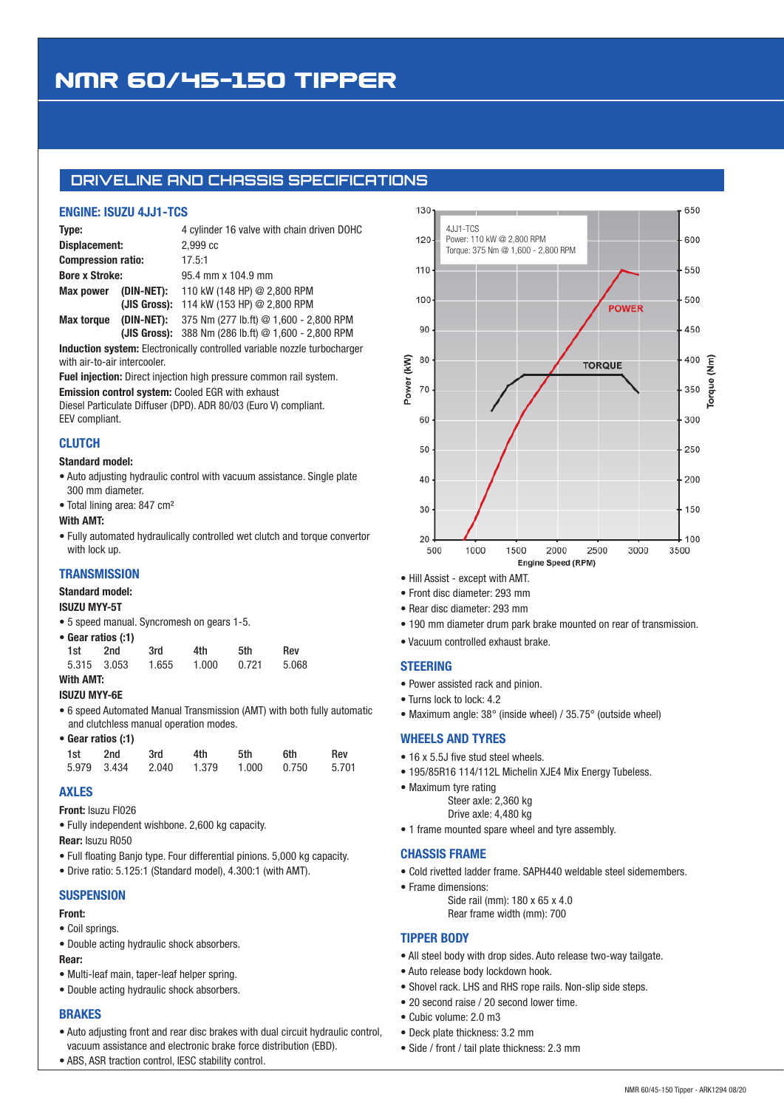# NMR 60/45-150 Tipper

# **DRIVELINE AND CHASSIS SPECIFICATIONS**

# **ENGINE: ISUZU 4JJ1-TCS**

| Type:                     |                      | 4 cylinder 16 valve with chain driven DOHC            |  |  |  |
|---------------------------|----------------------|-------------------------------------------------------|--|--|--|
| Displacement:             |                      | 2.999 <sub>c</sub>                                    |  |  |  |
| <b>Compression ratio:</b> |                      | 17.5:1                                                |  |  |  |
| <b>Bore x Stroke:</b>     |                      | 95.4 mm x 104.9 mm                                    |  |  |  |
|                           | Max power (DIN-NET): | 110 kW (148 HP) @ 2,800 RPM                           |  |  |  |
|                           |                      | (JIS Gross): 114 kW (153 HP) @ 2,800 RPM              |  |  |  |
| <b>Max torque</b>         | (DIN-NET):           | 375 Nm (277 lb.ft) @ 1,600 - 2,800 RPM                |  |  |  |
|                           |                      | (JIS Gross): $388$ Nm (286 lb.ft) @ 1,600 - 2,800 RPM |  |  |  |

**Induction system:** Electronically controlled variable nozzle turbocharger with air-to-air intercooler.

**Fuel injection:** Direct injection high pressure common rail system.

**Emission control system:** Cooled EGR with exhaust

Diesel Particulate Diffuser (DPD). ADR 80/03 (Euro V) compliant. EEV compliant.

# **CLUTCH**

#### **Standard model:**

- Auto adjusting hydraulic control with vacuum assistance. Single plate 300 mm diameter.
- Total lining area: 847 cm²

#### **With AMT:**

• Fully automated hydraulically controlled wet clutch and torque convertor with lock up.

# **TRANSMISSION**

#### **Standard model:**

#### **ISUZU MYY-5T**

**•** 5 speed manual. Syncromesh on gears 1-5.

| • Gear ratios (:1) |             |       |       |       |            |
|--------------------|-------------|-------|-------|-------|------------|
| 1st -              | 2nd         | 3rd   | 4th   | .5th  | <b>Rev</b> |
|                    | 5.315 3.053 | 1.655 | 1.000 | 0.721 | 5.068      |
| With AMT:          |             |       |       |       |            |

# **ISUZU MYY-6E**

• 6 speed Automated Manual Transmission (AMT) with both fully automatic and clutchless manual operation modes.

• **Gear ratios (:1)**

| 1st 2nd | 3rd | 4th | 5th | 6th                                       | Rev |
|---------|-----|-----|-----|-------------------------------------------|-----|
|         |     |     |     | 5.979 3.434 2.040 1.379 1.000 0.750 5.701 |     |

# **AXLES**

#### **Front:** Isuzu FI026

- Fully independent wishbone. 2,600 kg capacity.
- **Rear:** Isuzu R050
- Full floating Banjo type. Four differential pinions. 5,000 kg capacity.
- Drive ratio: 5.125:1 (Standard model), 4.300:1 (with AMT).

### **SUSPENSION**

# **Front:**

- Coil springs.
- Double acting hydraulic shock absorbers.

# **Rear:**

- Multi-leaf main, taper-leaf helper spring.
- Double acting hydraulic shock absorbers.

# **BRAKES**

• Auto adjusting front and rear disc brakes with dual circuit hydraulic control, vacuum assistance and electronic brake force distribution (EBD).



- Hill Assist except with AMT.
- Front disc diameter: 293 mm
- Rear disc diameter: 293 mm
- 190 mm diameter drum park brake mounted on rear of transmission.
- Vacuum controlled exhaust brake.

### **STEERING**

- Power assisted rack and pinion.
- Turns lock to lock: 4.2
- Maximum angle: 38° (inside wheel) / 35.75° (outside wheel)

#### **WHEELS AND TYRES**

- 16 x 5.5J five stud steel wheels.
- 195/85R16 114/112L Michelin XJE4 Mix Energy Tubeless.
- Maximum tyre rating
	- Steer axle: 2,360 kg
	- Drive axle: 4,480 kg
- 1 frame mounted spare wheel and tyre assembly.

### **CHASSIS FRAME**

- Cold rivetted ladder frame. SAPH440 weldable steel sidemembers.
- Frame dimensions:

Side rail (mm): 180 x 65 x 4.0 Rear frame width (mm): 700

### **TIPPER BODY**

- All steel body with drop sides. Auto release two-way tailgate.
- Auto release body lockdown hook.
- Shovel rack. LHS and RHS rope rails. Non-slip side steps.
- 20 second raise / 20 second lower time.
- Cubic volume: 2.0 m3
- Deck plate thickness: 3.2 mm
- Side / front / tail plate thickness: 2.3 mm

• ABS, ASR traction control, IESC stability control.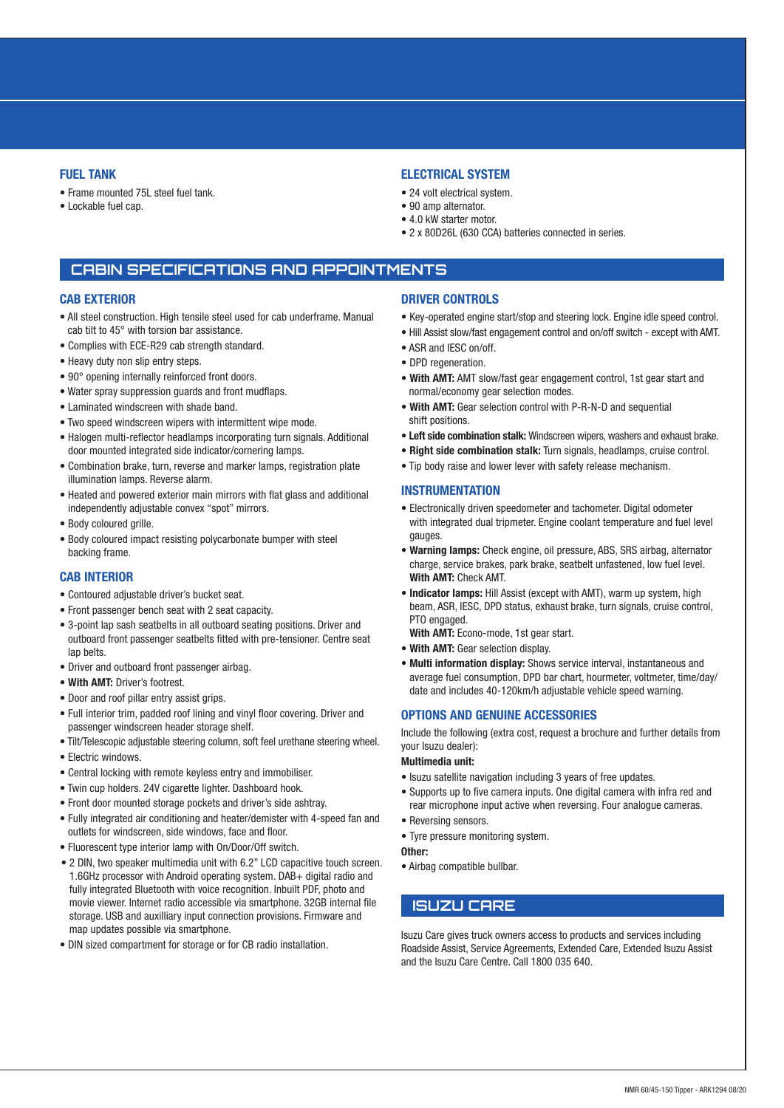# **FUEL TANK**

- Frame mounted 75L steel fuel tank.
- Lockable fuel cap.

# **ELECTRICAL SYSTEM**

- 24 volt electrical system.
- 90 amp alternator.
- 4.0 kW starter motor.
- 2 x 80D26L (630 CCA) batteries connected in series.

# **CABIN SPECIFICATIONS AND APPOINTMENTS**

### **CAB EXTERIOR**

- All steel construction. High tensile steel used for cab underframe. Manual cab tilt to 45° with torsion bar assistance.
- Complies with ECE-R29 cab strength standard.
- Heavy duty non slip entry steps.
- 90° opening internally reinforced front doors.
- Water spray suppression guards and front mudflaps.
- Laminated windscreen with shade band.
- Two speed windscreen wipers with intermittent wipe mode.
- Halogen multi-reflector headlamps incorporating turn signals. Additional door mounted integrated side indicator/cornering lamps.
- Combination brake, turn, reverse and marker lamps, registration plate illumination lamps. Reverse alarm.
- Heated and powered exterior main mirrors with flat glass and additional independently adjustable convex "spot" mirrors.
- Body coloured grille.
- Body coloured impact resisting polycarbonate bumper with steel backing frame.

#### **CAB INTERIOR**

- Contoured adjustable driver's bucket seat.
- Front passenger bench seat with 2 seat capacity.
- 3-point lap sash seatbelts in all outboard seating positions. Driver and outboard front passenger seatbelts fitted with pre-tensioner. Centre seat lap belts.
- Driver and outboard front passenger airbag.
- **With AMT:** Driver's footrest.
- Door and roof pillar entry assist grips.
- Full interior trim, padded roof lining and vinyl floor covering. Driver and passenger windscreen header storage shelf.
- Tilt/Telescopic adjustable steering column, soft feel urethane steering wheel.
- Electric windows.
- Central locking with remote keyless entry and immobiliser.
- Twin cup holders. 24V cigarette lighter. Dashboard hook.
- Front door mounted storage pockets and driver's side ashtray.
- Fully integrated air conditioning and heater/demister with 4-speed fan and outlets for windscreen, side windows, face and floor.
- Fluorescent type interior lamp with On/Door/Off switch.
- 2 DIN, two speaker multimedia unit with 6.2" LCD capacitive touch screen. 1.6GHz processor with Android operating system. DAB+ digital radio and fully integrated Bluetooth with voice recognition. Inbuilt PDF, photo and movie viewer. Internet radio accessible via smartphone. 32GB internal file storage. USB and auxilliary input connection provisions. Firmware and map updates possible via smartphone.
- DIN sized compartment for storage or for CB radio installation.

### **DRIVER CONTROLS**

- Key-operated engine start/stop and steering lock. Engine idle speed control.
- Hill Assist slow/fast engagement control and on/off switch except with AMT.
- ASR and IESC on/off.
- DPD regeneration.
- **With AMT:** AMT slow/fast gear engagement control, 1st gear start and normal/economy gear selection modes.
- **With AMT:** Gear selection control with P-R-N-D and sequential shift positions.
- **Left side combination stalk:** Windscreen wipers, washers and exhaust brake.
- • **Right side combination stalk:** Turn signals, headlamps, cruise control.
- Tip body raise and lower lever with safety release mechanism.

#### **INSTRUMENTATION**

- Electronically driven speedometer and tachometer. Digital odometer with integrated dual tripmeter. Engine coolant temperature and fuel level gauges.
- **Warning lamps:** Check engine, oil pressure, ABS, SRS airbag, alternator charge, service brakes, park brake, seatbelt unfastened, low fuel level. **With AMT:** Check AMT.
- **Indicator lamps:** Hill Assist (except with AMT), warm up system, high beam, ASR, IESC, DPD status, exhaust brake, turn signals, cruise control, PTO engaged.

**With AMT:** Econo-mode, 1st gear start.

- **With AMT:** Gear selection display.
- **Multi information display:** Shows service interval, instantaneous and average fuel consumption, DPD bar chart, hourmeter, voltmeter, time/day/ date and includes 40-120km/h adjustable vehicle speed warning.

### **OPTIONS AND GENUINE ACCESSORIES**

Include the following (extra cost, request a brochure and further details from your Isuzu dealer):

## **Multimedia unit:**

- Isuzu satellite navigation including 3 years of free updates.
- Supports up to five camera inputs. One digital camera with infra red and rear microphone input active when reversing. Four analogue cameras.
- Reversing sensors.
- Tyre pressure monitoring system.

#### **Other:**

• Airbag compatible bullbar.

# **ISUZU CARE**

Isuzu Care gives truck owners access to products and services including Roadside Assist, Service Agreements, Extended Care, Extended Isuzu Assist and the Isuzu Care Centre. Call 1800 035 640.